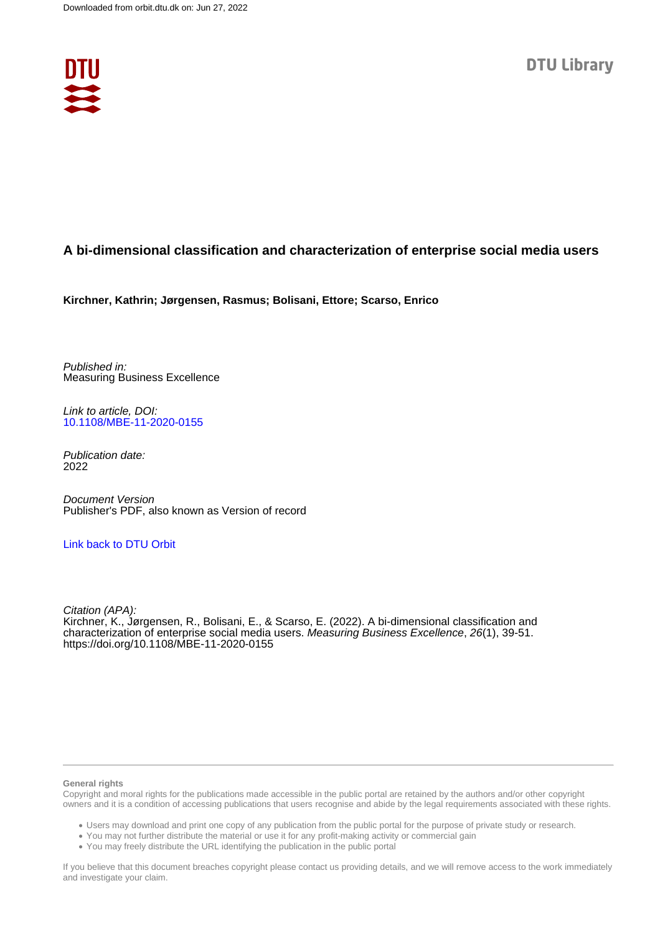

## **A bi-dimensional classification and characterization of enterprise social media users**

**Kirchner, Kathrin; Jørgensen, Rasmus; Bolisani, Ettore; Scarso, Enrico**

Published in: Measuring Business Excellence

Link to article, DOI: [10.1108/MBE-11-2020-0155](https://doi.org/10.1108/MBE-11-2020-0155)

Publication date: 2022

Document Version Publisher's PDF, also known as Version of record

### [Link back to DTU Orbit](https://orbit.dtu.dk/en/publications/400e14fe-16b1-4dce-a3fa-7389066e2ef1)

Citation (APA): Kirchner, K., Jørgensen, R., Bolisani, E., & Scarso, E. (2022). A bi-dimensional classification and characterization of enterprise social media users. Measuring Business Excellence, 26(1), 39-51. <https://doi.org/10.1108/MBE-11-2020-0155>

#### **General rights**

Copyright and moral rights for the publications made accessible in the public portal are retained by the authors and/or other copyright owners and it is a condition of accessing publications that users recognise and abide by the legal requirements associated with these rights.

Users may download and print one copy of any publication from the public portal for the purpose of private study or research.

- You may not further distribute the material or use it for any profit-making activity or commercial gain
- You may freely distribute the URL identifying the publication in the public portal

If you believe that this document breaches copyright please contact us providing details, and we will remove access to the work immediately and investigate your claim.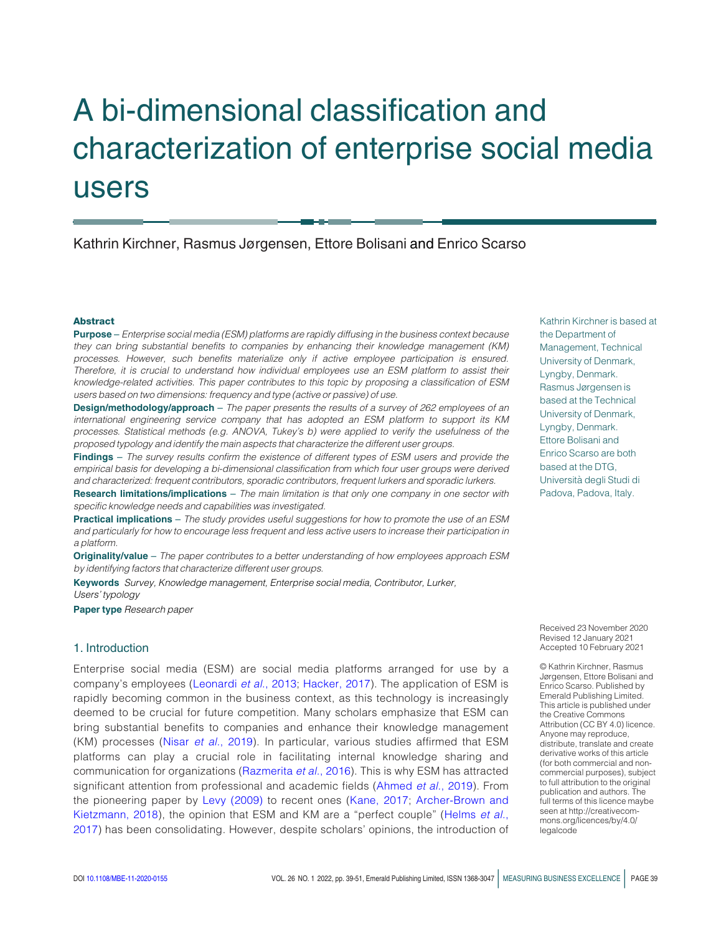# A bi-dimensional classification and characterization of enterprise social media users

Kathrin Kirchner, Rasmus Jørgensen, Ettore Bolisani and Enrico Scarso

#### Abstract

Purpose – Enterprise social media (ESM) platforms are rapidly diffusing in the business context because they can bring substantial benefits to companies by enhancing their knowledge management (KM) processes. However, such benefits materialize only if active employee participation is ensured. Therefore, it is crucial to understand how individual employees use an ESM platform to assist their knowledge-related activities. This paper contributes to this topic by proposing a classification of ESM users based on two dimensions: frequency and type (active or passive) of use.

**Design/methodology/approach** – The paper presents the results of a survey of 262 employees of an international engineering service company that has adopted an ESM platform to support its KM processes. Statistical methods (e.g. ANOVA, Tukey's b) were applied to verify the usefulness of the proposed typology and identify the main aspects that characterize the different user groups.

Findings – The survey results confirm the existence of different types of ESM users and provide the empirical basis for developing a bi-dimensional classification from which four user groups were derived and characterized: frequent contributors, sporadic contributors, frequent lurkers and sporadic lurkers.

Research limitations/implications – The main limitation is that only one company in one sector with specific knowledge needs and capabilities was investigated.

Practical implications – The study provides useful suggestions for how to promote the use of an ESM and particularly for how to encourage less frequent and less active users to increase their participation in a platform.

Originality/value - The paper contributes to a better understanding of how employees approach ESM by identifying factors that characterize different user groups.

Keywords Survey, Knowledge management, Enterprise social media, Contributor, Lurker, Users' typology

Paper type Research paper

#### 1. Introduction

Enterprise social media (ESM) are social media platforms arranged for use by a company's employees ([Leonardi](#page-12-0) et al., 2013; [Hacker, 2017](#page-12-1)). The application of ESM is rapidly becoming common in the business context, as this technology is increasingly deemed to be crucial for future competition. Many scholars emphasize that ESM can bring substantial benefits to companies and enhance their knowledge management (KM) processes (Nisar et al.[, 2019](#page-12-2)). In particular, various studies affirmed that ESM platforms can play a crucial role in facilitating internal knowledge sharing and communication for organizations ([Razmerita](#page-13-0) et al., 2016). This is why ESM has attracted significant attention from professional and academic fields [\(Ahmed](#page-11-0) et al., 2019). From the pioneering paper by [Levy \(2009\)](#page-12-3) to recent ones ([Kane, 2017;](#page-12-4) [Archer-Brown and](#page-11-1) [Kietzmann, 2018\)](#page-11-1), the opinion that ESM and KM are a "perfect couple" ([Helms](#page-12-5) et al., [2017\)](#page-12-5) has been consolidating. However, despite scholars' opinions, the introduction of Kathrin Kirchner is based at the Department of Management, Technical University of Denmark, Lyngby, Denmark. Rasmus Jørgensen is based at the Technical University of Denmark, Lyngby, Denmark. Ettore Bolisani and Enrico Scarso are both based at the DTG, Universita` degli Studi di Padova, Padova, Italy.

Received 23 November 2020 Revised 12 January 2021 Accepted 10 February 2021

© Kathrin Kirchner, Rasmus Jørgensen, Ettore Bolisani and Enrico Scarso. Published by Emerald Publishing Limited. This article is published under the Creative Commons Attribution (CC BY 4.0) licence. Anyone may reproduce, distribute, translate and create derivative works of this article (for both commercial and noncommercial purposes), subject to full attribution to the original publication and authors. The full terms of this licence maybe seen at http://creativecommons.org/licences/by/4.0/ legalcode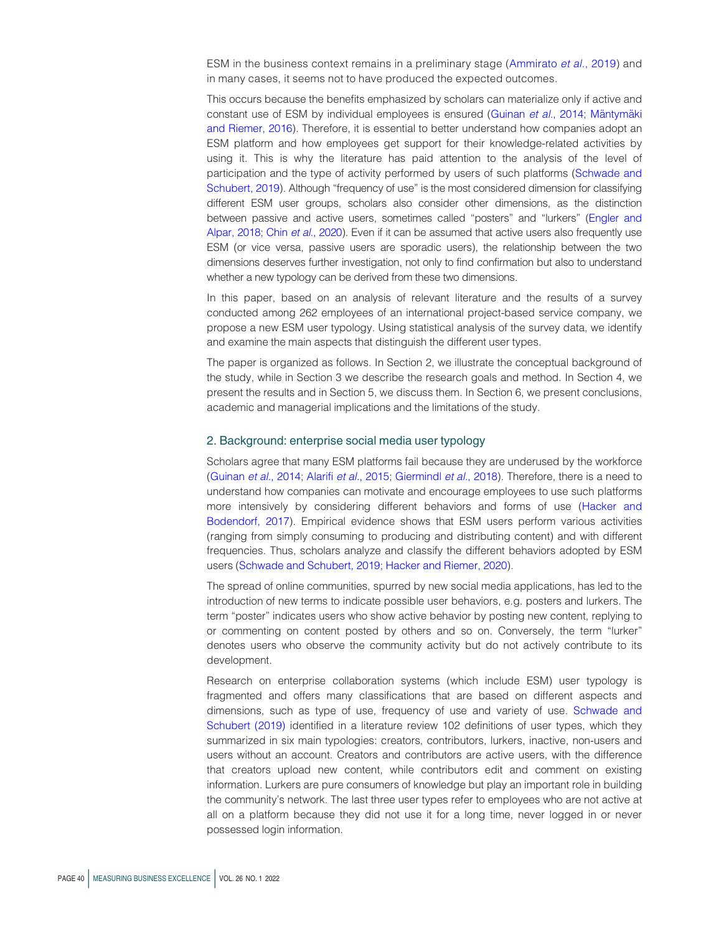ESM in the business context remains in a preliminary stage ([Ammirato](#page-11-2) et al., 2019) and in many cases, it seems not to have produced the expected outcomes.

This occurs because the benefits emphasized by scholars can materialize only if active and constant use of ESM by individual employees is ensured [\(Guinan](#page-12-6) et al., 2014; Mäntymäki [and Riemer, 2016](#page-12-7)). Therefore, it is essential to better understand how companies adopt an ESM platform and how employees get support for their knowledge-related activities by using it. This is why the literature has paid attention to the analysis of the level of participation and the type of activity performed by users of such platforms [\(Schwade and](#page-13-1) [Schubert, 2019](#page-13-1)). Although "frequency of use" is the most considered dimension for classifying different ESM user groups, scholars also consider other dimensions, as the distinction between passive and active users, sometimes called "posters" and "lurkers" ([Engler and](#page-11-3) [Alpar, 2018;](#page-11-3) Chin et al.[, 2020](#page-11-4)). Even if it can be assumed that active users also frequently use ESM (or vice versa, passive users are sporadic users), the relationship between the two dimensions deserves further investigation, not only to find confirmation but also to understand whether a new typology can be derived from these two dimensions.

In this paper, based on an analysis of relevant literature and the results of a survey conducted among 262 employees of an international project-based service company, we propose a new ESM user typology. Using statistical analysis of the survey data, we identify and examine the main aspects that distinguish the different user types.

The paper is organized as follows. In Section 2, we illustrate the conceptual background of the study, while in Section 3 we describe the research goals and method. In Section 4, we present the results and in Section 5, we discuss them. In Section 6, we present conclusions, academic and managerial implications and the limitations of the study.

#### 2. Background: enterprise social media user typology

Scholars agree that many ESM platforms fail because they are underused by the workforce [\(Guinan](#page-12-6) et al., 2014; Alarifi et al.[, 2015;](#page-11-5) [Giermindl](#page-12-8) et al., 2018). Therefore, there is a need to understand how companies can motivate and encourage employees to use such platforms more intensively by considering different behaviors and forms of use [\(Hacker and](#page-12-9) [Bodendorf, 2017\)](#page-12-9). Empirical evidence shows that ESM users perform various activities (ranging from simply consuming to producing and distributing content) and with different frequencies. Thus, scholars analyze and classify the different behaviors adopted by ESM users ([Schwade and Schubert, 2019](#page-13-1); [Hacker and Riemer, 2020\)](#page-12-10).

The spread of online communities, spurred by new social media applications, has led to the introduction of new terms to indicate possible user behaviors, e.g. posters and lurkers. The term "poster" indicates users who show active behavior by posting new content, replying to or commenting on content posted by others and so on. Conversely, the term "lurker" denotes users who observe the community activity but do not actively contribute to its development.

Research on enterprise collaboration systems (which include ESM) user typology is fragmented and offers many classifications that are based on different aspects and dimensions, such as type of use, frequency of use and variety of use. [Schwade and](#page-13-1) [Schubert \(2019\)](#page-13-1) identified in a literature review 102 definitions of user types, which they summarized in six main typologies: creators, contributors, lurkers, inactive, non-users and users without an account. Creators and contributors are active users, with the difference that creators upload new content, while contributors edit and comment on existing information. Lurkers are pure consumers of knowledge but play an important role in building the community's network. The last three user types refer to employees who are not active at all on a platform because they did not use it for a long time, never logged in or never possessed login information.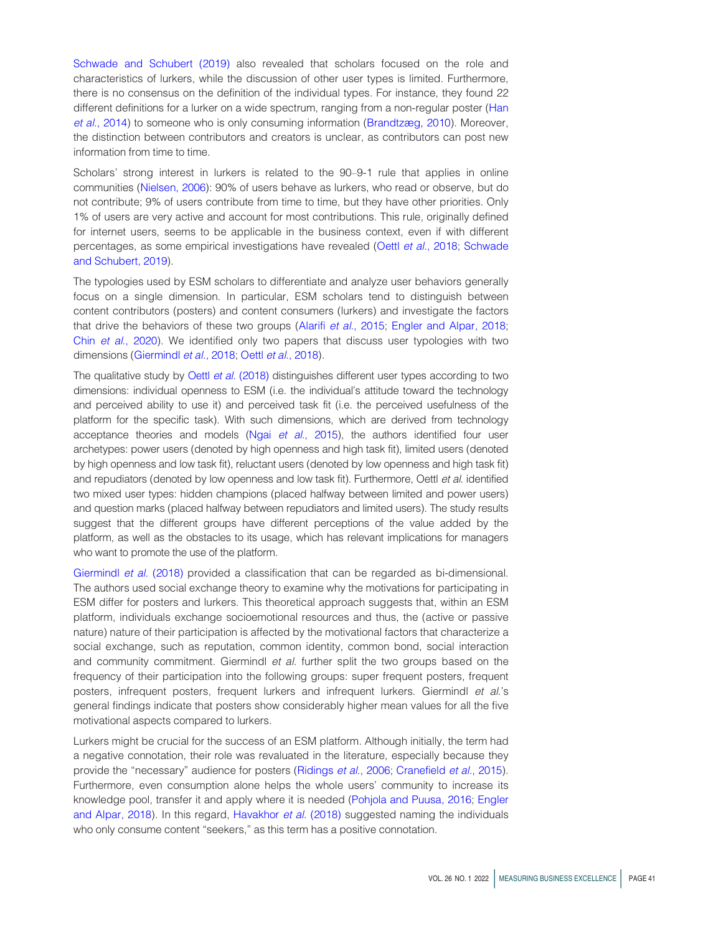[Schwade and Schubert \(2019\)](#page-13-1) also revealed that scholars focused on the role and characteristics of lurkers, while the discussion of other user types is limited. Furthermore, there is no consensus on the definition of the individual types. For instance, they found 22 different definitions for a lurker on a wide spectrum, ranging from a non-regular poster ([Han](#page-12-11) et al.[, 2014\)](#page-12-11) to someone who is only consuming information [\(Brandtzæg, 2010\)](#page-11-6). Moreover, the distinction between contributors and creators is unclear, as contributors can post new information from time to time.

Scholars' strong interest in lurkers is related to the 90–9-1 rule that applies in online communities ([Nielsen, 2006\)](#page-12-12): 90% of users behave as lurkers, who read or observe, but do not contribute; 9% of users contribute from time to time, but they have other priorities. Only 1% of users are very active and account for most contributions. This rule, originally defined for internet users, seems to be applicable in the business context, even if with different percentages, as some empirical investigations have revealed (Oettl et al.[, 2018](#page-12-13); [Schwade](#page-13-1) [and Schubert, 2019\)](#page-13-1).

The typologies used by ESM scholars to differentiate and analyze user behaviors generally focus on a single dimension. In particular, ESM scholars tend to distinguish between content contributors (posters) and content consumers (lurkers) and investigate the factors that drive the behaviors of these two groups (Alarifi et al.[, 2015;](#page-11-5) [Engler and Alpar, 2018](#page-11-3); Chin et al.[, 2020\)](#page-11-4). We identified only two papers that discuss user typologies with two dimensions ([Giermindl](#page-12-8) et al., 2018; Oettl et al.[, 2018\)](#page-12-13).

The qualitative study by Oettl et al. [\(2018\)](#page-12-13) distinguishes different user types according to two dimensions: individual openness to ESM (i.e. the individual's attitude toward the technology and perceived ability to use it) and perceived task fit (i.e. the perceived usefulness of the platform for the specific task). With such dimensions, which are derived from technology acceptance theories and models (Ngai et al.[, 2015\)](#page-12-14), the authors identified four user archetypes: power users (denoted by high openness and high task fit), limited users (denoted by high openness and low task fit), reluctant users (denoted by low openness and high task fit) and repudiators (denoted by low openness and low task fit). Furthermore, Oettl et al. identified two mixed user types: hidden champions (placed halfway between limited and power users) and question marks (placed halfway between repudiators and limited users). The study results suggest that the different groups have different perceptions of the value added by the platform, as well as the obstacles to its usage, which has relevant implications for managers who want to promote the use of the platform.

[Giermindl](#page-12-8) et al. (2018) provided a classification that can be regarded as bi-dimensional. The authors used social exchange theory to examine why the motivations for participating in ESM differ for posters and lurkers. This theoretical approach suggests that, within an ESM platform, individuals exchange socioemotional resources and thus, the (active or passive nature) nature of their participation is affected by the motivational factors that characterize a social exchange, such as reputation, common identity, common bond, social interaction and community commitment. Giermindl et al. further split the two groups based on the frequency of their participation into the following groups: super frequent posters, frequent posters, infrequent posters, frequent lurkers and infrequent lurkers. Giermindl et al.'s general findings indicate that posters show considerably higher mean values for all the five motivational aspects compared to lurkers.

Lurkers might be crucial for the success of an ESM platform. Although initially, the term had a negative connotation, their role was revaluated in the literature, especially because they provide the "necessary" audience for posters [\(Ridings](#page-13-2) et al., 2006; [Cranefield](#page-11-7) et al., 2015). Furthermore, even consumption alone helps the whole users' community to increase its knowledge pool, transfer it and apply where it is needed ([Pohjola and Puusa, 2016](#page-12-15); [Engler](#page-11-3) [and Alpar, 2018\)](#page-11-3). In this regard, [Havakhor](#page-12-16) et al. (2018) suggested naming the individuals who only consume content "seekers," as this term has a positive connotation.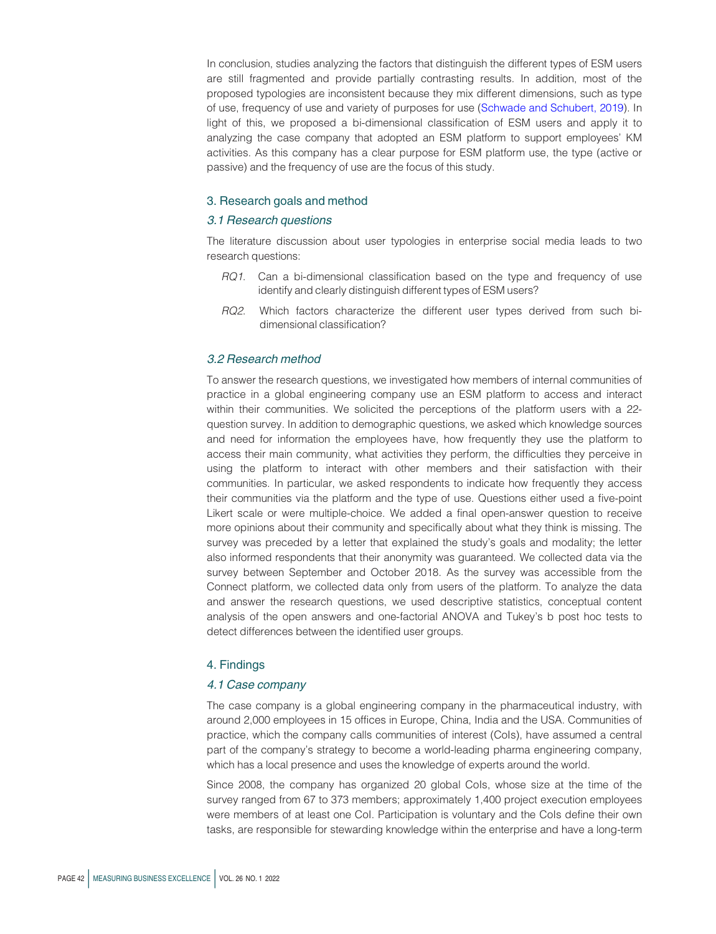In conclusion, studies analyzing the factors that distinguish the different types of ESM users are still fragmented and provide partially contrasting results. In addition, most of the proposed typologies are inconsistent because they mix different dimensions, such as type of use, frequency of use and variety of purposes for use [\(Schwade and Schubert, 2019\)](#page-13-1). In light of this, we proposed a bi-dimensional classification of ESM users and apply it to analyzing the case company that adopted an ESM platform to support employees' KM activities. As this company has a clear purpose for ESM platform use, the type (active or passive) and the frequency of use are the focus of this study.

#### 3. Research goals and method

#### 3.1 Research questions

The literature discussion about user typologies in enterprise social media leads to two research questions:

- RQ1. Can a bi-dimensional classification based on the type and frequency of use identify and clearly distinguish different types of ESM users?
- RQ2. Which factors characterize the different user types derived from such bidimensional classification?

#### 3.2 Research method

To answer the research questions, we investigated how members of internal communities of practice in a global engineering company use an ESM platform to access and interact within their communities. We solicited the perceptions of the platform users with a 22 question survey. In addition to demographic questions, we asked which knowledge sources and need for information the employees have, how frequently they use the platform to access their main community, what activities they perform, the difficulties they perceive in using the platform to interact with other members and their satisfaction with their communities. In particular, we asked respondents to indicate how frequently they access their communities via the platform and the type of use. Questions either used a five-point Likert scale or were multiple-choice. We added a final open-answer question to receive more opinions about their community and specifically about what they think is missing. The survey was preceded by a letter that explained the study's goals and modality; the letter also informed respondents that their anonymity was guaranteed. We collected data via the survey between September and October 2018. As the survey was accessible from the Connect platform, we collected data only from users of the platform. To analyze the data and answer the research questions, we used descriptive statistics, conceptual content analysis of the open answers and one-factorial ANOVA and Tukey's b post hoc tests to detect differences between the identified user groups.

#### 4. Findings

#### 4.1 Case company

The case company is a global engineering company in the pharmaceutical industry, with around 2,000 employees in 15 offices in Europe, China, India and the USA. Communities of practice, which the company calls communities of interest (CoIs), have assumed a central part of the company's strategy to become a world-leading pharma engineering company, which has a local presence and uses the knowledge of experts around the world.

Since 2008, the company has organized 20 global CoIs, whose size at the time of the survey ranged from 67 to 373 members; approximately 1,400 project execution employees were members of at least one CoI. Participation is voluntary and the CoIs define their own tasks, are responsible for stewarding knowledge within the enterprise and have a long-term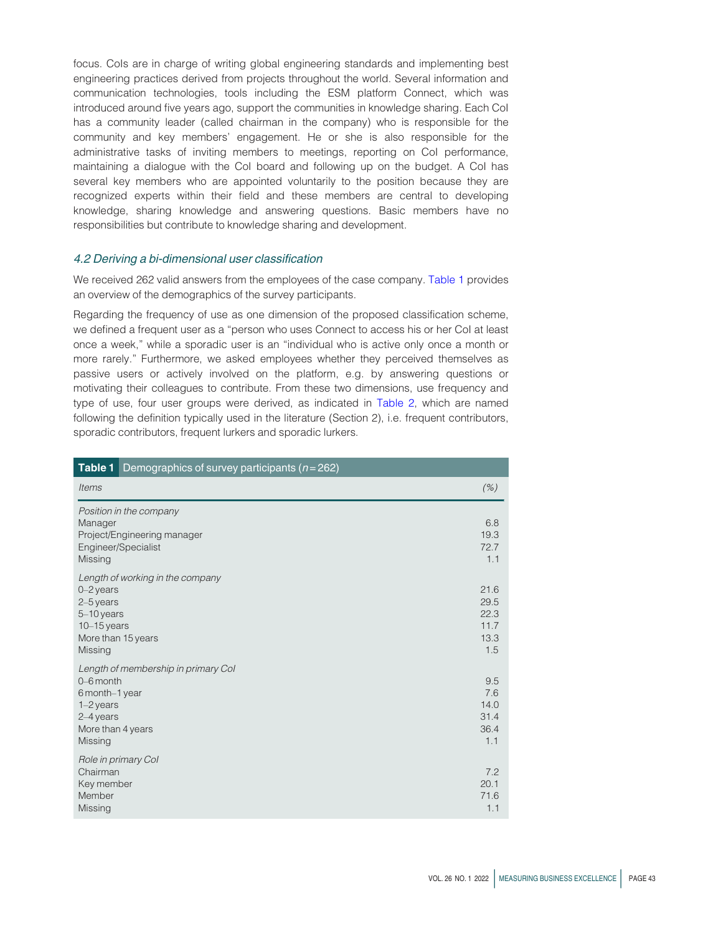focus. Cols are in charge of writing global engineering standards and implementing best engineering practices derived from projects throughout the world. Several information and communication technologies, tools including the ESM platform Connect, which was introduced around five years ago, support the communities in knowledge sharing. Each CoI has a community leader (called chairman in the company) who is responsible for the community and key members' engagement. He or she is also responsible for the administrative tasks of inviting members to meetings, reporting on CoI performance, maintaining a dialogue with the CoI board and following up on the budget. A CoI has several key members who are appointed voluntarily to the position because they are recognized experts within their field and these members are central to developing knowledge, sharing knowledge and answering questions. Basic members have no responsibilities but contribute to knowledge sharing and development.

#### 4.2 Deriving a bi-dimensional user classification

We received 262 valid answers from the employees of the case company. [Table 1](#page-5-0) provides an overview of the demographics of the survey participants.

Regarding the frequency of use as one dimension of the proposed classification scheme, we defined a frequent user as a "person who uses Connect to access his or her CoI at least once a week," while a sporadic user is an "individual who is active only once a month or more rarely." Furthermore, we asked employees whether they perceived themselves as passive users or actively involved on the platform, e.g. by answering questions or motivating their colleagues to contribute. From these two dimensions, use frequency and type of use, four user groups were derived, as indicated in [Table 2,](#page-6-0) which are named following the definition typically used in the literature (Section 2), i.e. frequent contributors, sporadic contributors, frequent lurkers and sporadic lurkers.

<span id="page-5-0"></span>

| Table 1 $ $<br>Demographics of survey participants ( $n = 262$ )                                                                 |                                             |
|----------------------------------------------------------------------------------------------------------------------------------|---------------------------------------------|
| <b>Items</b>                                                                                                                     | (% )                                        |
| Position in the company<br>Manager<br>Project/Engineering manager<br>Engineer/Specialist<br>Missing                              | 6.8<br>19.3<br>72.7<br>1.1                  |
| Length of working in the company<br>$0 - 2$ years<br>2-5 years<br>5-10 years<br>$10 - 15$ years<br>More than 15 years<br>Missing | 21.6<br>29.5<br>22.3<br>11.7<br>13.3<br>1.5 |
| Length of membership in primary Col<br>0-6 month<br>6 month-1 year<br>$1-2$ years<br>2-4 years<br>More than 4 years<br>Missing   | 9.5<br>7.6<br>14.0<br>31.4<br>36.4<br>1.1   |
| Role in primary Col<br>Chairman<br>Key member<br>Member<br>Missing                                                               | 7.2<br>20.1<br>71.6<br>1.1                  |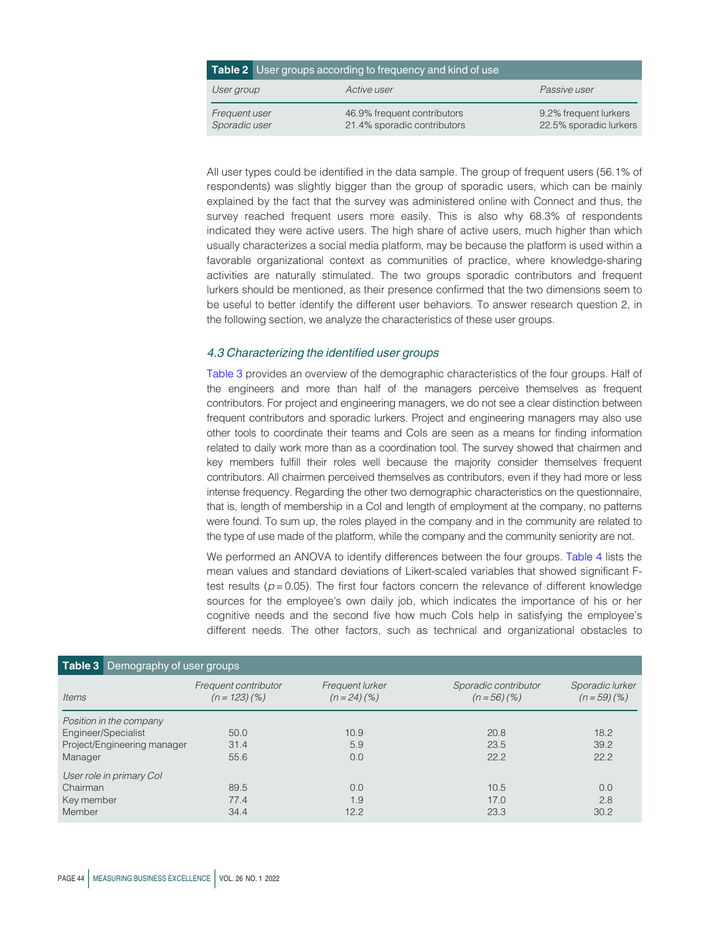<span id="page-6-0"></span>

|                                | <b>Table 2</b> User groups according to frequency and kind of use |                                                 |  |  |
|--------------------------------|-------------------------------------------------------------------|-------------------------------------------------|--|--|
| User group                     | Active user                                                       | Passive user                                    |  |  |
| Frequent user<br>Sporadic user | 46.9% frequent contributors<br>21.4% sporadic contributors        | 9.2% frequent lurkers<br>22.5% sporadic lurkers |  |  |

All user types could be identified in the data sample. The group of frequent users (56.1% of respondents) was slightly bigger than the group of sporadic users, which can be mainly explained by the fact that the survey was administered online with Connect and thus, the survey reached frequent users more easily. This is also why 68.3% of respondents indicated they were active users. The high share of active users, much higher than which usually characterizes a social media platform, may be because the platform is used within a favorable organizational context as communities of practice, where knowledge-sharing activities are naturally stimulated. The two groups sporadic contributors and frequent lurkers should be mentioned, as their presence confirmed that the two dimensions seem to be useful to better identify the different user behaviors. To answer research question 2, in the following section, we analyze the characteristics of these user groups.

#### 4.3 Characterizing the identified user groups

[Table 3](#page-6-1) provides an overview of the demographic characteristics of the four groups. Half of the engineers and more than half of the managers perceive themselves as frequent contributors. For project and engineering managers, we do not see a clear distinction between frequent contributors and sporadic lurkers. Project and engineering managers may also use other tools to coordinate their teams and CoIs are seen as a means for finding information related to daily work more than as a coordination tool. The survey showed that chairmen and key members fulfill their roles well because the majority consider themselves frequent contributors. All chairmen perceived themselves as contributors, even if they had more or less intense frequency. Regarding the other two demographic characteristics on the questionnaire, that is, length of membership in a CoI and length of employment at the company, no patterns were found. To sum up, the roles played in the company and in the community are related to the type of use made of the platform, while the company and the community seniority are not.

We performed an ANOVA to identify differences between the four groups. [Table 4](#page-7-0) lists the mean values and standard deviations of Likert-scaled variables that showed significant Ftest results ( $p = 0.05$ ). The first four factors concern the relevance of different knowledge sources for the employee's own daily job, which indicates the importance of his or her cognitive needs and the second five how much CoIs help in satisfying the employee's different needs. The other factors, such as technical and organizational obstacles to

<span id="page-6-1"></span>

|            | Table 3 Demography of user groups |                                         |                               |                                       |                               |
|------------|-----------------------------------|-----------------------------------------|-------------------------------|---------------------------------------|-------------------------------|
| Items      |                                   | Frequent contributor<br>$(n = 123)(\%)$ | Frequent lurker<br>$(n=24)(%$ | Sporadic contributor<br>$(n = 56)(%)$ | Sporadic lurker<br>$(n=59)(%$ |
| Manager    | Position in the company           | 50.0                                    | 10.9                          | 20.8                                  | 18.2                          |
|            | Engineer/Specialist               | 31.4                                    | 5.9                           | 23.5                                  | 39.2                          |
|            | Project/Engineering manager       | 55.6                                    | 0.0                           | 22.2                                  | 22.2                          |
| Chairman   | User role in primary Col          | 89.5                                    | 0.0                           | 10.5                                  | 0.0                           |
| Key member |                                   | 77.4                                    | 1.9                           | 17.0                                  | 2.8                           |
| Member     |                                   | 34.4                                    | 12.2                          | 23.3                                  | 30.2                          |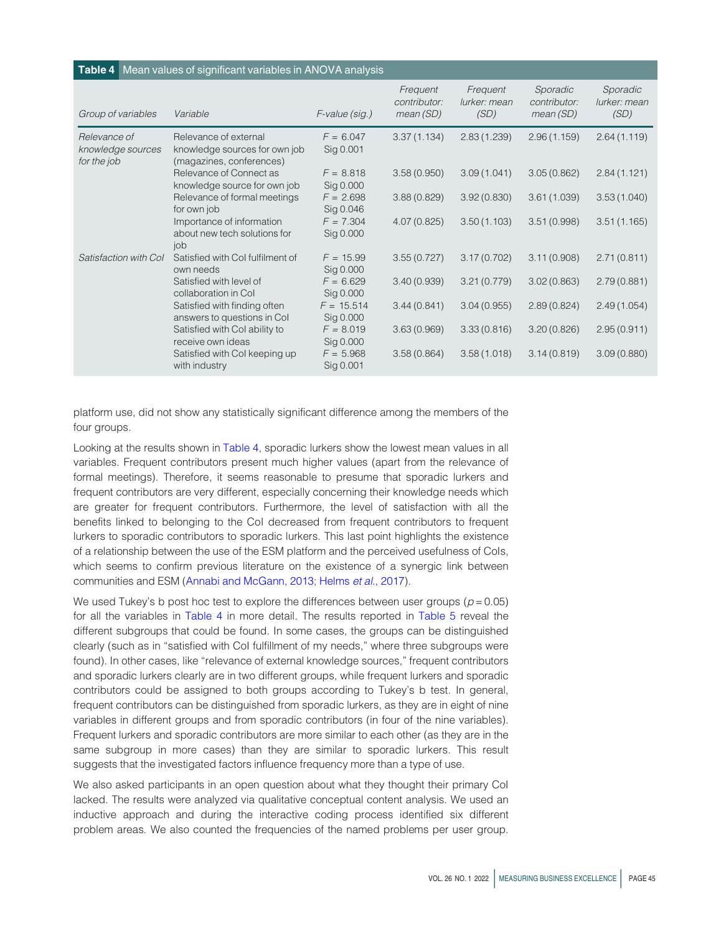#### <span id="page-7-0"></span>Table 4 Mean values of significant variables in ANOVA analysis Group of variables Variable F-value (sig.) Frequent contributor: mean (SD) **Frequent** lurker: mean (SD) Sporadic contributor: mean (SD) Sporadic lurker: mean (SD) Relevance of knowledge sources for the job Relevance of external knowledge sources for own job (magazines, conferences)  $F = 6.047$ Sig 0.001 3.37 (1.134) 2.83 (1.239) 2.96 (1.159) 2.64 (1.119) Relevance of Connect as knowledge source for own job  $F = 8.818$ Sig 0.000 3.58 (0.950) 3.09 (1.041) 3.05 (0.862) 2.84 (1.121) Relevance of formal meetings for own job  $F = 2.698$ Sig 0.046 3.88 (0.829) 3.92 (0.830) 3.61 (1.039) 3.53 (1.040) Importance of information about new tech solutions for iob  $F = 7.304$ Sig 0.000 4.07 (0.825) 3.50 (1.103) 3.51 (0.998) 3.51 (1.165) Satisfaction with Col Satisfied with Col fulfilment of own needs  $F = 15.99$ Sig 0.000 3.55 (0.727) 3.17 (0.702) 3.11 (0.908) 2.71 (0.811) Satisfied with level of collaboration in CoI  $F = 6.629$ Sig 0.000 3.40 (0.939) 3.21 (0.779) 3.02 (0.863) 2.79 (0.881) Satisfied with finding often answers to questions in CoI  $F = 15.514$ Sig 0.000 3.44 (0.841) 3.04 (0.955) 2.89 (0.824) 2.49 (1.054) Satisfied with CoI ability to receive own ideas  $F = 8.019$ Sig 0.000 3.63 (0.969) 3.33 (0.816) 3.20 (0.826) 2.95 (0.911) Satisfied with CoI keeping up with industry  $F = 5.968$ Sig 0.001 3.58 (0.864) 3.58 (1.018) 3.14 (0.819) 3.09 (0.880)

platform use, did not show any statistically significant difference among the members of the four groups.

Looking at the results shown in [Table 4](#page-7-0), sporadic lurkers show the lowest mean values in all variables. Frequent contributors present much higher values (apart from the relevance of formal meetings). Therefore, it seems reasonable to presume that sporadic lurkers and frequent contributors are very different, especially concerning their knowledge needs which are greater for frequent contributors. Furthermore, the level of satisfaction with all the benefits linked to belonging to the CoI decreased from frequent contributors to frequent lurkers to sporadic contributors to sporadic lurkers. This last point highlights the existence of a relationship between the use of the ESM platform and the perceived usefulness of CoIs, which seems to confirm previous literature on the existence of a synergic link between communities and ESM ([Annabi and McGann, 2013;](#page-11-8) [Helms](#page-12-5) et al., 2017).

We used Tukey's b post hoc test to explore the differences between user groups ( $p = 0.05$ ) for all the variables in [Table 4](#page-7-0) in more detail. The results reported in [Table 5](#page-8-0) reveal the different subgroups that could be found. In some cases, the groups can be distinguished clearly (such as in "satisfied with CoI fulfillment of my needs," where three subgroups were found). In other cases, like "relevance of external knowledge sources," frequent contributors and sporadic lurkers clearly are in two different groups, while frequent lurkers and sporadic contributors could be assigned to both groups according to Tukey's b test. In general, frequent contributors can be distinguished from sporadic lurkers, as they are in eight of nine variables in different groups and from sporadic contributors (in four of the nine variables). Frequent lurkers and sporadic contributors are more similar to each other (as they are in the same subgroup in more cases) than they are similar to sporadic lurkers. This result suggests that the investigated factors influence frequency more than a type of use.

We also asked participants in an open question about what they thought their primary CoI lacked. The results were analyzed via qualitative conceptual content analysis. We used an inductive approach and during the interactive coding process identified six different problem areas. We also counted the frequencies of the named problems per user group.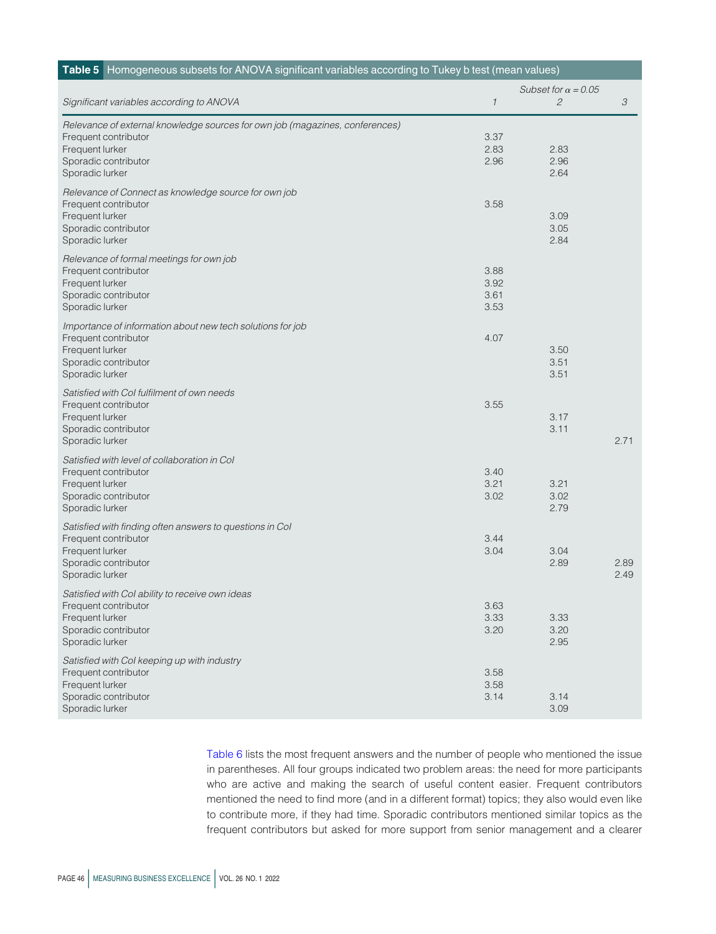<span id="page-8-0"></span>

|                                                                              | Subset for $\alpha = 0.05$ |                |      |
|------------------------------------------------------------------------------|----------------------------|----------------|------|
| Significant variables according to ANOVA                                     | $\mathcal{I}$              | $\mathfrak{C}$ | 3    |
| Relevance of external knowledge sources for own job (magazines, conferences) |                            |                |      |
| Frequent contributor                                                         | 3.37                       |                |      |
| Frequent lurker                                                              | 2.83                       | 2.83           |      |
| Sporadic contributor                                                         | 2.96                       | 2.96           |      |
| Sporadic lurker                                                              |                            | 2.64           |      |
| Relevance of Connect as knowledge source for own job                         |                            |                |      |
| Frequent contributor                                                         | 3.58                       |                |      |
| Frequent lurker                                                              |                            | 3.09           |      |
| Sporadic contributor                                                         |                            | 3.05           |      |
| Sporadic lurker                                                              |                            | 2.84           |      |
| Relevance of formal meetings for own job                                     |                            |                |      |
| Frequent contributor                                                         | 3.88                       |                |      |
| Frequent lurker                                                              | 3.92                       |                |      |
| Sporadic contributor                                                         | 3.61                       |                |      |
| Sporadic lurker                                                              | 3.53                       |                |      |
| Importance of information about new tech solutions for job                   |                            |                |      |
| Frequent contributor                                                         | 4.07                       |                |      |
| Frequent lurker                                                              |                            | 3.50           |      |
| Sporadic contributor                                                         |                            | 3.51           |      |
| Sporadic lurker                                                              |                            | 3.51           |      |
| Satisfied with Col fulfilment of own needs                                   |                            |                |      |
| Frequent contributor                                                         | 3.55                       |                |      |
| Frequent lurker                                                              |                            | 3.17           |      |
| Sporadic contributor                                                         |                            | 3.11           |      |
| Sporadic lurker                                                              |                            |                | 2.71 |
| Satisfied with level of collaboration in Col                                 |                            |                |      |
| Frequent contributor                                                         | 3.40                       |                |      |
| Frequent lurker                                                              | 3.21                       | 3.21           |      |
| Sporadic contributor                                                         | 3.02                       | 3.02           |      |
| Sporadic lurker                                                              |                            | 2.79           |      |
| Satisfied with finding often answers to questions in Col                     |                            |                |      |
| Frequent contributor                                                         | 3.44                       |                |      |
| Frequent lurker                                                              | 3.04                       | 3.04           |      |
| Sporadic contributor                                                         |                            | 2.89           | 2.89 |
| Sporadic lurker                                                              |                            |                | 2.49 |
| Satisfied with Col ability to receive own ideas                              |                            |                |      |
| Frequent contributor                                                         | 3.63                       |                |      |
| Frequent lurker                                                              | 3.33                       | 3.33           |      |
| Sporadic contributor                                                         | 3.20                       | 3.20           |      |
| Sporadic lurker                                                              |                            | 2.95           |      |
| Satisfied with Col keeping up with industry                                  |                            |                |      |
| Frequent contributor                                                         | 3.58                       |                |      |
| Frequent lurker                                                              | 3.58                       |                |      |
| Sporadic contributor                                                         | 3.14                       | 3.14           |      |
| Sporadic lurker                                                              |                            | 3.09           |      |

[Table 6](#page-9-0) lists the most frequent answers and the number of people who mentioned the issue in parentheses. All four groups indicated two problem areas: the need for more participants who are active and making the search of useful content easier. Frequent contributors mentioned the need to find more (and in a different format) topics; they also would even like to contribute more, if they had time. Sporadic contributors mentioned similar topics as the frequent contributors but asked for more support from senior management and a clearer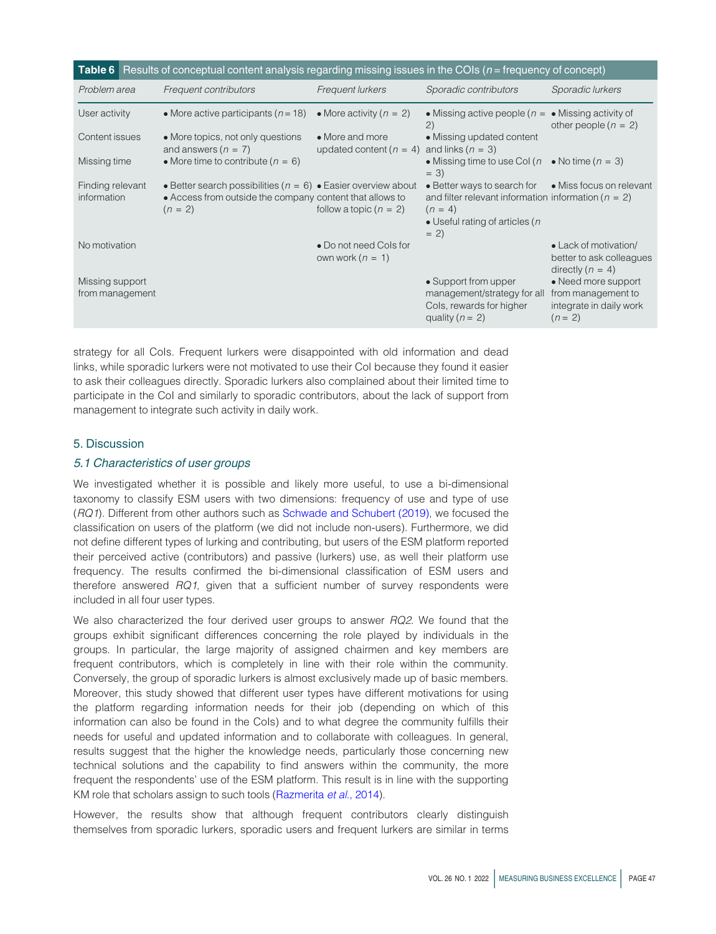<span id="page-9-0"></span>

|                                    | <b>Table 6</b> Results of conceptual content analysis regarding missing issues in the COIs $(n = \text{frequency of concept})$             |                                                |                                                                                                                                                           |                                                                                 |
|------------------------------------|--------------------------------------------------------------------------------------------------------------------------------------------|------------------------------------------------|-----------------------------------------------------------------------------------------------------------------------------------------------------------|---------------------------------------------------------------------------------|
| Problem area                       | Frequent contributors                                                                                                                      | <b>Frequent lurkers</b>                        | Sporadic contributors                                                                                                                                     | Sporadic lurkers                                                                |
| User activity                      | • More active participants ( $n = 18$ )                                                                                                    | • More activity ( $n = 2$ )                    | • Missing active people ( $n = \bullet$ Missing activity of<br>(2)                                                                                        | other people $(n = 2)$                                                          |
| Content issues                     | • More topics, not only questions<br>and answers $(n = 7)$                                                                                 | • More and more<br>updated content ( $n = 4$ ) | • Missing updated content<br>and links $(n = 3)$                                                                                                          |                                                                                 |
| Missing time                       | • More time to contribute ( $n = 6$ )                                                                                                      |                                                | • Missing time to use CoI ( $n$<br>$= 3)$                                                                                                                 | • No time $(n = 3)$                                                             |
| Finding relevant<br>information    | • Better search possibilities ( $n = 6$ ) • Easier overview about<br>• Access from outside the company content that allows to<br>$(n = 2)$ | follow a topic $(n = 2)$                       | $\bullet$ Better ways to search for<br>and filter relevant information information ( $n = 2$ )<br>$(n = 4)$<br>• Useful rating of articles ( $n$<br>$= 2$ | • Miss focus on relevant                                                        |
| No motivation                      |                                                                                                                                            | • Do not need Cols for<br>own work $(n = 1)$   |                                                                                                                                                           | • Lack of motivation/<br>better to ask colleagues<br>directly $(n = 4)$         |
| Missing support<br>from management |                                                                                                                                            |                                                | • Support from upper<br>management/strategy for all<br>Cols, rewards for higher<br>quality ( $n = 2$ )                                                    | • Need more support<br>from management to<br>integrate in daily work<br>$(n=2)$ |

strategy for all CoIs. Frequent lurkers were disappointed with old information and dead links, while sporadic lurkers were not motivated to use their CoI because they found it easier to ask their colleagues directly. Sporadic lurkers also complained about their limited time to participate in the CoI and similarly to sporadic contributors, about the lack of support from management to integrate such activity in daily work.

#### 5. Discussion

#### 5.1 Characteristics of user groups

We investigated whether it is possible and likely more useful, to use a bi-dimensional taxonomy to classify ESM users with two dimensions: frequency of use and type of use (RQ1). Different from other authors such as [Schwade and Schubert \(2019\),](#page-13-1) we focused the classification on users of the platform (we did not include non-users). Furthermore, we did not define different types of lurking and contributing, but users of the ESM platform reported their perceived active (contributors) and passive (lurkers) use, as well their platform use frequency. The results confirmed the bi-dimensional classification of ESM users and therefore answered RQ1, given that a sufficient number of survey respondents were included in all four user types.

We also characterized the four derived user groups to answer RQ2. We found that the groups exhibit significant differences concerning the role played by individuals in the groups. In particular, the large majority of assigned chairmen and key members are frequent contributors, which is completely in line with their role within the community. Conversely, the group of sporadic lurkers is almost exclusively made up of basic members. Moreover, this study showed that different user types have different motivations for using the platform regarding information needs for their job (depending on which of this information can also be found in the CoIs) and to what degree the community fulfills their needs for useful and updated information and to collaborate with colleagues. In general, results suggest that the higher the knowledge needs, particularly those concerning new technical solutions and the capability to find answers within the community, the more frequent the respondents' use of the ESM platform. This result is in line with the supporting KM role that scholars assign to such tools ([Razmerita](#page-12-17) et al., 2014).

However, the results show that although frequent contributors clearly distinguish themselves from sporadic lurkers, sporadic users and frequent lurkers are similar in terms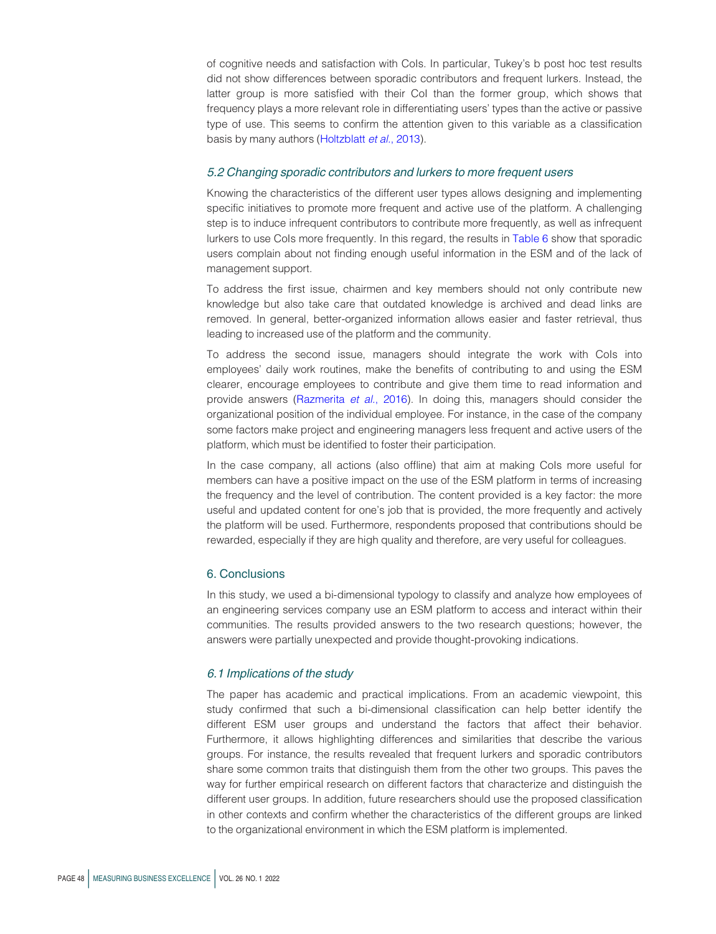of cognitive needs and satisfaction with CoIs. In particular, Tukey's b post hoc test results did not show differences between sporadic contributors and frequent lurkers. Instead, the latter group is more satisfied with their CoI than the former group, which shows that frequency plays a more relevant role in differentiating users' types than the active or passive type of use. This seems to confirm the attention given to this variable as a classification basis by many authors [\(Holtzblatt](#page-12-18) et al., 2013).

#### 5.2 Changing sporadic contributors and lurkers to more frequent users

Knowing the characteristics of the different user types allows designing and implementing specific initiatives to promote more frequent and active use of the platform. A challenging step is to induce infrequent contributors to contribute more frequently, as well as infrequent lurkers to use CoIs more frequently. In this regard, the results in [Table 6](#page-9-0) show that sporadic users complain about not finding enough useful information in the ESM and of the lack of management support.

To address the first issue, chairmen and key members should not only contribute new knowledge but also take care that outdated knowledge is archived and dead links are removed. In general, better-organized information allows easier and faster retrieval, thus leading to increased use of the platform and the community.

To address the second issue, managers should integrate the work with CoIs into employees' daily work routines, make the benefits of contributing to and using the ESM clearer, encourage employees to contribute and give them time to read information and provide answers ([Razmerita](#page-13-0) et al., 2016). In doing this, managers should consider the organizational position of the individual employee. For instance, in the case of the company some factors make project and engineering managers less frequent and active users of the platform, which must be identified to foster their participation.

In the case company, all actions (also offline) that aim at making CoIs more useful for members can have a positive impact on the use of the ESM platform in terms of increasing the frequency and the level of contribution. The content provided is a key factor: the more useful and updated content for one's job that is provided, the more frequently and actively the platform will be used. Furthermore, respondents proposed that contributions should be rewarded, especially if they are high quality and therefore, are very useful for colleagues.

#### 6. Conclusions

In this study, we used a bi-dimensional typology to classify and analyze how employees of an engineering services company use an ESM platform to access and interact within their communities. The results provided answers to the two research questions; however, the answers were partially unexpected and provide thought-provoking indications.

#### 6.1 Implications of the study

The paper has academic and practical implications. From an academic viewpoint, this study confirmed that such a bi-dimensional classification can help better identify the different ESM user groups and understand the factors that affect their behavior. Furthermore, it allows highlighting differences and similarities that describe the various groups. For instance, the results revealed that frequent lurkers and sporadic contributors share some common traits that distinguish them from the other two groups. This paves the way for further empirical research on different factors that characterize and distinguish the different user groups. In addition, future researchers should use the proposed classification in other contexts and confirm whether the characteristics of the different groups are linked to the organizational environment in which the ESM platform is implemented.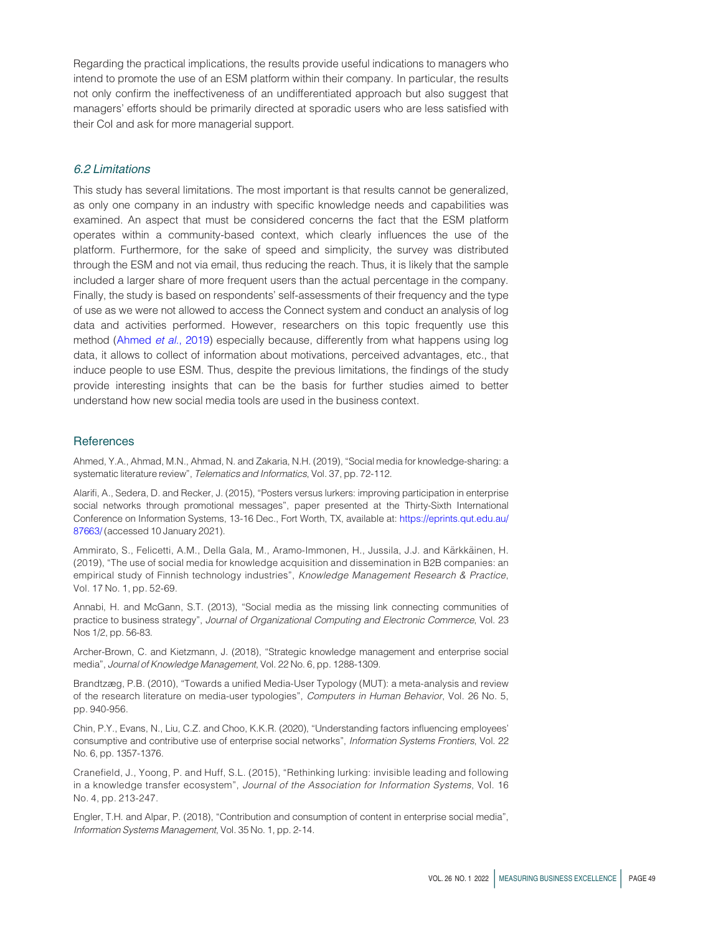Regarding the practical implications, the results provide useful indications to managers who intend to promote the use of an ESM platform within their company. In particular, the results not only confirm the ineffectiveness of an undifferentiated approach but also suggest that managers' efforts should be primarily directed at sporadic users who are less satisfied with their CoI and ask for more managerial support.

#### 6.2 Limitations

This study has several limitations. The most important is that results cannot be generalized, as only one company in an industry with specific knowledge needs and capabilities was examined. An aspect that must be considered concerns the fact that the ESM platform operates within a community-based context, which clearly influences the use of the platform. Furthermore, for the sake of speed and simplicity, the survey was distributed through the ESM and not via email, thus reducing the reach. Thus, it is likely that the sample included a larger share of more frequent users than the actual percentage in the company. Finally, the study is based on respondents' self-assessments of their frequency and the type of use as we were not allowed to access the Connect system and conduct an analysis of log data and activities performed. However, researchers on this topic frequently use this method [\(Ahmed](#page-11-0) et al., 2019) especially because, differently from what happens using log data, it allows to collect of information about motivations, perceived advantages, etc., that induce people to use ESM. Thus, despite the previous limitations, the findings of the study provide interesting insights that can be the basis for further studies aimed to better understand how new social media tools are used in the business context.

#### **References**

<span id="page-11-0"></span>Ahmed, Y.A., Ahmad, M.N., Ahmad, N. and Zakaria, N.H. (2019), "Social media for knowledge-sharing: a systematic literature review", Telematics and Informatics, Vol. 37, pp. 72-112.

<span id="page-11-5"></span>Alarifi, A., Sedera, D. and Recker, J. (2015), "Posters versus lurkers: improving participation in enterprise social networks through promotional messages", paper presented at the Thirty-Sixth International Conference on Information Systems, 13-16 Dec., Fort Worth, TX, available at: [https://eprints.qut.edu.au/](https://eprints.qut.edu.au/87663/) [87663/](https://eprints.qut.edu.au/87663/) (accessed 10 January 2021).

<span id="page-11-2"></span>Ammirato, S., Felicetti, A.M., Della Gala, M., Aramo-Immonen, H., Jussila, J.J. and Kärkkäinen, H. (2019), "The use of social media for knowledge acquisition and dissemination in B2B companies: an empirical study of Finnish technology industries", Knowledge Management Research & Practice, Vol. 17 No. 1, pp. 52-69.

<span id="page-11-8"></span>Annabi, H. and McGann, S.T. (2013), "Social media as the missing link connecting communities of practice to business strategy", Journal of Organizational Computing and Electronic Commerce, Vol. 23 Nos 1/2, pp. 56-83.

<span id="page-11-1"></span>Archer-Brown, C. and Kietzmann, J. (2018), "Strategic knowledge management and enterprise social media", Journal of Knowledge Management, Vol. 22 No. 6, pp. 1288-1309.

<span id="page-11-6"></span>Brandtzæg, P.B. (2010), "Towards a unified Media-User Typology (MUT): a meta-analysis and review of the research literature on media-user typologies", Computers in Human Behavior, Vol. 26 No. 5, pp. 940-956.

<span id="page-11-4"></span>Chin, P.Y., Evans, N., Liu, C.Z. and Choo, K.K.R. (2020), "Understanding factors influencing employees' consumptive and contributive use of enterprise social networks", Information Systems Frontiers, Vol. 22 No. 6, pp. 1357-1376.

<span id="page-11-7"></span>Cranefield, J., Yoong, P. and Huff, S.L. (2015), "Rethinking lurking: invisible leading and following in a knowledge transfer ecosystem", Journal of the Association for Information Systems, Vol. 16 No. 4, pp. 213-247.

<span id="page-11-3"></span>Engler, T.H. and Alpar, P. (2018), "Contribution and consumption of content in enterprise social media", Information Systems Management, Vol. 35 No. 1, pp. 2-14.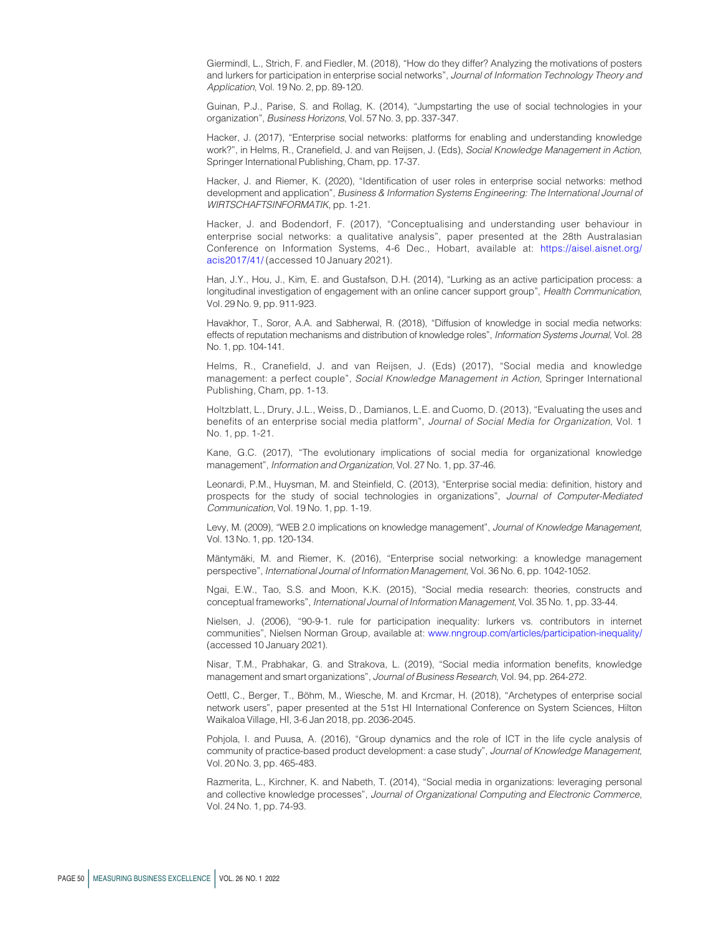<span id="page-12-8"></span>Giermindl, L., Strich, F. and Fiedler, M. (2018), "How do they differ? Analyzing the motivations of posters and lurkers for participation in enterprise social networks", Journal of Information Technology Theory and Application, Vol. 19 No. 2, pp. 89-120.

<span id="page-12-6"></span>Guinan, P.J., Parise, S. and Rollag, K. (2014), "Jumpstarting the use of social technologies in your organization", Business Horizons, Vol. 57 No. 3, pp. 337-347.

<span id="page-12-1"></span>Hacker, J. (2017), "Enterprise social networks: platforms for enabling and understanding knowledge work?", in Helms, R., Cranefield, J. and van Reijsen, J. (Eds), Social Knowledge Management in Action, Springer International Publishing, Cham, pp. 17-37.

<span id="page-12-10"></span>Hacker, J. and Riemer, K. (2020), "Identification of user roles in enterprise social networks: method development and application", Business & Information Systems Engineering: The International Journal of WIRTSCHAFTSINFORMATIK, pp. 1-21.

<span id="page-12-9"></span>Hacker, J. and Bodendorf, F. (2017), "Conceptualising and understanding user behaviour in enterprise social networks: a qualitative analysis", paper presented at the 28th Australasian Conference on Information Systems, 4-6 Dec., Hobart, available at: [https://aisel.aisnet.org/](https://aisel.aisnet.org/acis2017/41/) [acis2017/41/](https://aisel.aisnet.org/acis2017/41/) (accessed 10 January 2021).

<span id="page-12-11"></span>Han, J.Y., Hou, J., Kim, E. and Gustafson, D.H. (2014), "Lurking as an active participation process: a longitudinal investigation of engagement with an online cancer support group", Health Communication, Vol. 29 No. 9, pp. 911-923.

<span id="page-12-16"></span>Havakhor, T., Soror, A.A. and Sabherwal, R. (2018), "Diffusion of knowledge in social media networks: effects of reputation mechanisms and distribution of knowledge roles", Information Systems Journal, Vol. 28 No. 1, pp. 104-141.

<span id="page-12-5"></span>Helms, R., Cranefield, J. and van Reijsen, J. (Eds) (2017), "Social media and knowledge management: a perfect couple", Social Knowledge Management in Action, Springer International Publishing, Cham, pp. 1-13.

<span id="page-12-18"></span>Holtzblatt, L., Drury, J.L., Weiss, D., Damianos, L.E. and Cuomo, D. (2013), "Evaluating the uses and benefits of an enterprise social media platform", Journal of Social Media for Organization, Vol. 1 No. 1, pp. 1-21.

<span id="page-12-4"></span>Kane, G.C. (2017), "The evolutionary implications of social media for organizational knowledge management", Information and Organization, Vol. 27 No. 1, pp. 37-46.

<span id="page-12-0"></span>Leonardi, P.M., Huysman, M. and Steinfield, C. (2013), "Enterprise social media: definition, history and prospects for the study of social technologies in organizations", Journal of Computer-Mediated Communication, Vol. 19 No. 1, pp. 1-19.

<span id="page-12-3"></span>Levy, M. (2009), "WEB 2.0 implications on knowledge management", Journal of Knowledge Management, Vol. 13 No. 1, pp. 120-134.

<span id="page-12-7"></span>Mäntymäki, M. and Riemer, K. (2016), "Enterprise social networking: a knowledge management perspective", International Journal of Information Management, Vol. 36 No. 6, pp. 1042-1052.

<span id="page-12-14"></span>Ngai, E.W., Tao, S.S. and Moon, K.K. (2015), "Social media research: theories, constructs and conceptual frameworks", International Journal of Information Management, Vol. 35 No. 1, pp. 33-44.

<span id="page-12-12"></span>Nielsen, J. (2006), "90-9-1. rule for participation inequality: lurkers vs. contributors in internet communities", Nielsen Norman Group, available at: [www.nngroup.com/articles/participation-inequality/](http://www.nngroup.com/articles/participation-inequality/) (accessed 10 January 2021).

<span id="page-12-2"></span>Nisar, T.M., Prabhakar, G. and Strakova, L. (2019), "Social media information benefits, knowledge management and smart organizations", Journal of Business Research, Vol. 94, pp. 264-272.

<span id="page-12-13"></span>Oettl, C., Berger, T., Böhm, M., Wiesche, M. and Krcmar, H. (2018), "Archetypes of enterprise social network users", paper presented at the 51st HI International Conference on System Sciences, Hilton Waikaloa Village, HI, 3-6 Jan 2018, pp. 2036-2045.

<span id="page-12-15"></span>Pohjola, I. and Puusa, A. (2016), "Group dynamics and the role of ICT in the life cycle analysis of community of practice-based product development: a case study", Journal of Knowledge Management, Vol. 20 No. 3, pp. 465-483.

<span id="page-12-17"></span>Razmerita, L., Kirchner, K. and Nabeth, T. (2014), "Social media in organizations: leveraging personal and collective knowledge processes", Journal of Organizational Computing and Electronic Commerce, Vol. 24 No. 1, pp. 74-93.